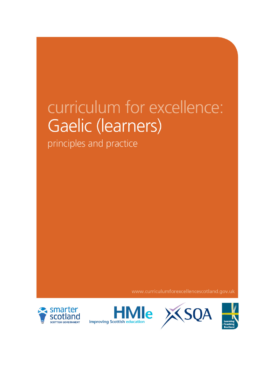# curriculum for excellence: Gaelic (learners)

principles and practice

www.curriculumforexcellencescotland.gov.uk





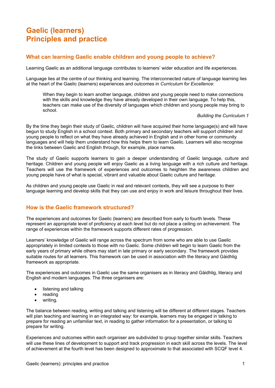## **Gaelic (learners) Principles and practice**

#### **What can learning Gaelic enable children and young people to achieve?**

Learning Gaelic as an additional language contributes to learners' wider education and life experiences.

Language lies at the centre of our thinking and learning. The interconnected nature of language learning lies at the heart of the Gaelic (learners) experiences and outcomes in *Curriculum for Excellence*:

When they begin to learn another language, children and young people need to make connections with the skills and knowledge they have already developed in their own language. To help this, teachers can make use of the diversity of languages which children and young people may bring to school.

#### *Building the Curriculum 1*

By the time they begin their study of Gaelic, children will have acquired their home language(s) and will have begun to study English in a school context. Both primary and secondary teachers will support children and young people to reflect on what they have already achieved in English and in other home or community languages and will help them understand how this helps them to learn Gaelic. Learners will also recognise the links between Gaelic and English through, for example, place names.

The study of Gaelic supports learners to gain a deeper understanding of Gaelic language, culture and heritage. Children and young people will enjoy Gaelic as a living language with a rich culture and heritage. Teachers will use the framework of experiences and outcomes to heighten the awareness children and young people have of what is special, vibrant and valuable about Gaelic culture and heritage.

As children and young people use Gaelic in real and relevant contexts, they will see a purpose to their language learning and develop skills that they can use and enjoy in work and leisure throughout their lives.

#### **How is the Gaelic framework structured?**

The experiences and outcomes for Gaelic (learners) are described from early to fourth levels. These represent an appropriate level of proficiency at each level but do not place a ceiling on achievement. The range of experiences within the framework supports different rates of progression.

Learners' knowledge of Gaelic will range across the spectrum from some who are able to use Gaelic appropriately in limited contexts to those with no Gaelic. Some children will begin to learn Gaelic from the early years of primary while others may start in late primary or early secondary. The framework provides suitable routes for all learners. This framework can be used in association with the literacy and Gàidhlig framework as appropriate.

The experiences and outcomes in Gaelic use the same organisers as in literacy and Gàidhlig, literacy and English and modern languages. The three organisers are:

- listening and talking
- reading
- writing.

The balance between reading, writing and talking and listening will be different at different stages. Teachers will plan teaching and learning in an integrated way: for example, learners may be engaged in talking to prepare for reading an unfamiliar text, in reading to gather information for a presentation, or talking to prepare for writing.

Experiences and outcomes within each organiser are subdivided to group together similar skills. Teachers will use these lines of development to support and track progression in each skill across the levels. The level of achievement at the fourth level has been designed to approximate to that associated with SCQF level 4.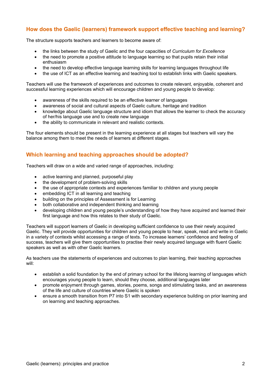### **How does the Gaelic (learners) framework support effective teaching and learning?**

The structure supports teachers and learners to become aware of:

- the links between the study of Gaelic and the four capacities of *Curriculum for Excellence*
- the need to promote a positive attitude to language learning so that pupils retain their initial enthusiasm
- the need to develop effective language learning skills for learning languages throughout life
- the use of ICT as an effective learning and teaching tool to establish links with Gaelic speakers.

Teachers will use the framework of experiences and outcomes to create relevant, enjoyable, coherent and successful learning experiences which will encourage children and young people to develop:

- awareness of the skills required to be an effective learner of languages
- awareness of social and cultural aspects of Gaelic culture, heritage and tradition
- knowledge about Gaelic language structure and idiom that allows the learner to check the accuracy of her/his language use and to create new language
- the ability to communicate in relevant and realistic contexts.

The four elements should be present in the learning experience at all stages but teachers will vary the balance among them to meet the needs of learners at different stages.

#### **Which learning and teaching approaches should be adopted?**

Teachers will draw on a wide and varied range of approaches, including:

- active learning and planned, purposeful play
- the development of problem-solving skills
- the use of appropriate contexts and experiences familiar to children and young people
- embedding ICT in all learning and teaching
- building on the principles of Assessment is for Learning
- both collaborative and independent thinking and learning
- developing children and young people's understanding of how they have acquired and learned their first language and how this relates to their study of Gaelic.

Teachers will support learners of Gaelic in developing sufficient confidence to use their newly acquired Gaelic. They will provide opportunities for children and young people to hear, speak, read and write in Gaelic in a variety of contexts whilst accessing a range of texts. To increase learners' confidence and feeling of success, teachers will give them opportunities to practise their newly acquired language with fluent Gaelic speakers as well as with other Gaelic learners.

As teachers use the statements of experiences and outcomes to plan learning, their teaching approaches will:

- establish a solid foundation by the end of primary school for the lifelong learning of languages which encourages young people to learn, should they choose, additional languages later
- promote enjoyment through games, stories, poems, songs and stimulating tasks, and an awareness of the life and culture of countries where Gaelic is spoken
- ensure a smooth transition from P7 into S1 with secondary experience building on prior learning and on learning and teaching approaches.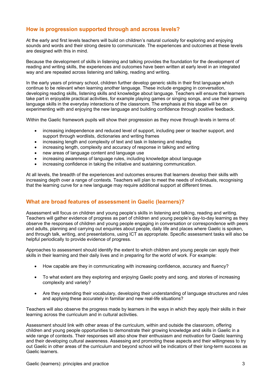#### **How is progression supported through and across levels?**

At the early and first levels teachers will build on children's natural curiosity for exploring and enjoying sounds and words and their strong desire to communicate. The experiences and outcomes at these levels are designed with this in mind.

Because the development of skills in listening and talking provides the foundation for the development of reading and writing skills, the experiences and outcomes have been written at early level in an integrated way and are repeated across listening and talking, reading and writing.

In the early years of primary school, children further develop generic skills in their first language which continue to be relevant when learning another language. These include engaging in conversation, developing reading skills, listening skills and knowledge about language. Teachers will ensure that learners take part in enjoyable practical activities, for example playing games or singing songs, and use their growing language skills in the everyday interactions of the classroom. The emphasis at this stage will be on experimenting with and enjoying the new language and building confidence through positive feedback.

Within the Gaelic framework pupils will show their progression as they move through levels in terms of:

- increasing independence and reduced level of support, including peer or teacher support, and support through wordlists, dictionaries and writing frames
- increasing length and complexity of text and task in listening and reading
- increasing length, complexity and accuracy of response in talking and writing
- new areas of language content and language use
- increasing awareness of language rules, including knowledge about language
- increasing confidence in taking the initiative and sustaining communication.

At all levels, the breadth of the experiences and outcomes ensures that learners develop their skills with increasing depth over a range of contexts. Teachers will plan to meet the needs of individuals, recognising that the learning curve for a new language may require additional support at different times.

#### **What are broad features of assessment in Gaelic (learners)?**

Assessment will focus on children and young people's skills in listening and talking, reading and writing. Teachers will gather evidence of progress as part of children and young people's day-to-day learning as they observe the responses of children and young people engaging in conversation or correspondence with peers and adults, planning and carrying out enquiries about people, daily life and places where Gaelic is spoken, and through talk, writing, and presentations, using ICT as appropriate. Specific assessment tasks will also be helpful periodically to provide evidence of progress.

Approaches to assessment should identify the extent to which children and young people can apply their skills in their learning and their daily lives and in preparing for the world of work. For example:

- How capable are they in communicating with increasing confidence, accuracy and fluency?
- To what extent are they exploring and enjoying Gaelic poetry and song, and stories of increasing complexity and variety?
- Are they extending their vocabulary, developing their understanding of language structures and rules and applying these accurately in familiar and new real-life situations?

Teachers will also observe the progress made by learners in the ways in which they apply their skills in their learning across the curriculum and in cultural activities.

Assessment should link with other areas of the curriculum, within and outside the classroom, offering children and young people opportunities to demonstrate their growing knowledge and skills in Gaelic in a wide range of contexts. Their responses will also show their enthusiasm and motivation for Gaelic learning and their developing cultural awareness. Assessing and promoting these aspects and their willingness to try out Gaelic in other areas of the curriculum and beyond school will be indicators of their long-term success as Gaelic learners.